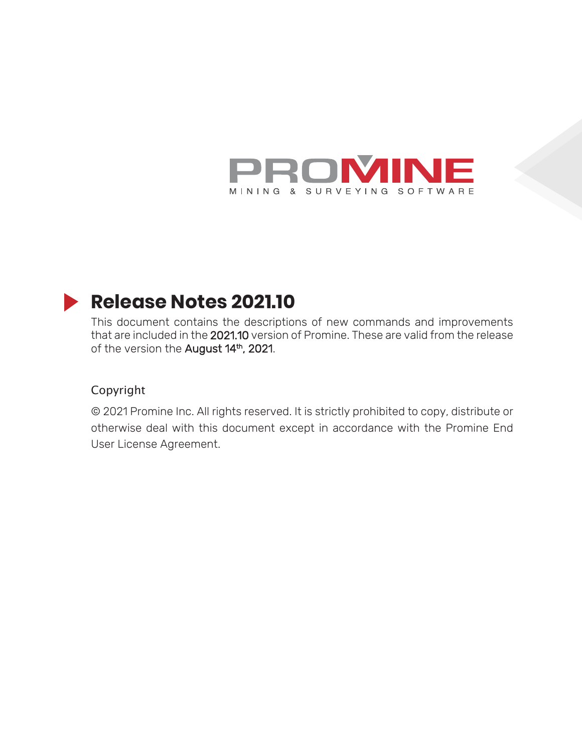

# **Release Notes 2021.10**

This document contains the descriptions of new commands and improvements that are included in the 2021.10 version of Promine. These are valid from the release of the version the August 14<sup>th</sup>, 2021.

### Copyright

© 2021 Promine Inc. All rights reserved. It is strictly prohibited to copy, distribute or otherwise deal with this document except in accordance with the Promine End User License Agreement.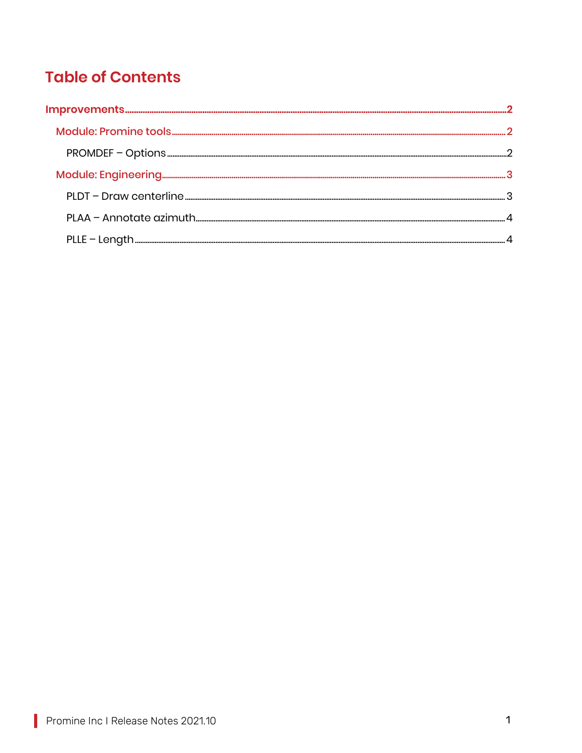## **Table of Contents**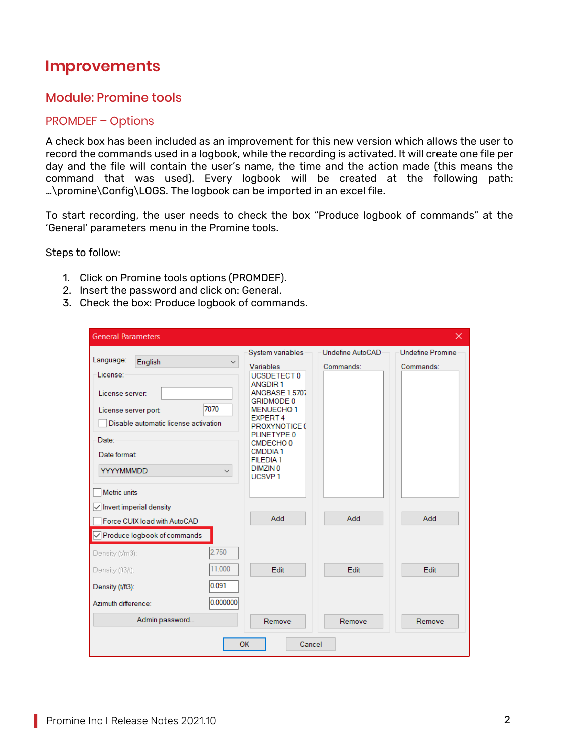## **Improvements**

## Module: Promine tools

### PROMDEF – Options

A check box has been included as an improvement for this new version which allows the user to record the commands used in a logbook, while the recording is activated. It will create one file per day and the file will contain the user's name, the time and the action made (this means the command that was used). Every logbook will be created at the following path: …\promine\Config\LOGS. The logbook can be imported in an excel file.

To start recording, the user needs to check the box "Produce logbook of commands" at the 'General' parameters menu in the Promine tools.

Steps to follow:

- 1. Click on Promine tools options (PROMDEF).
- 2. Insert the password and click on: General.
- 3. Check the box: Produce logbook of commands.

| <b>General Parameters</b>                                                                                                                                                                                         |                                                                                                                                                                                                                                                                                             |                               | $\times$                             |
|-------------------------------------------------------------------------------------------------------------------------------------------------------------------------------------------------------------------|---------------------------------------------------------------------------------------------------------------------------------------------------------------------------------------------------------------------------------------------------------------------------------------------|-------------------------------|--------------------------------------|
| Language:<br>English<br>$\checkmark$<br>License:<br>License server:<br>7070<br>License server port:<br>Disable automatic license activation<br>Date:<br>Date format:<br>YYYYMMMDD<br>$\checkmark$<br>Metric units | System variables<br>Variables<br>UCSDETECT 0<br><b>ANGDIR1</b><br>ANGBASE 1.5707<br><b>GRIDMODE 0</b><br>MENUECHO <sub>1</sub><br><b>EXPERT 4</b><br>PROXYNOTICE 0<br>PLINETYPE 0<br>CMDECHO <sub>0</sub><br><b>CMDDIA1</b><br><b>FILEDIA1</b><br>DIMZIN <sub>0</sub><br>UCSVP <sub>1</sub> | Undefine AutoCAD<br>Commands: | <b>Undefine Promine</b><br>Commands: |
| $\sqrt{\ }$ Invert imperial density<br>Force CUIX load with AutoCAD<br>√ Produce logbook of commands                                                                                                              | Add                                                                                                                                                                                                                                                                                         | Add                           | Add                                  |
| 2.750<br>Density (t/m3):<br>11.000<br>Density (ft3/t):<br>0.091<br>Density (t/ft3):<br>0.000000<br>Azimuth difference:                                                                                            | <b>Fdit</b>                                                                                                                                                                                                                                                                                 | <b>Fdit</b>                   | Fdit.                                |
| Admin password                                                                                                                                                                                                    | Remove<br>OK<br>Cancel                                                                                                                                                                                                                                                                      | Remove                        | Remove                               |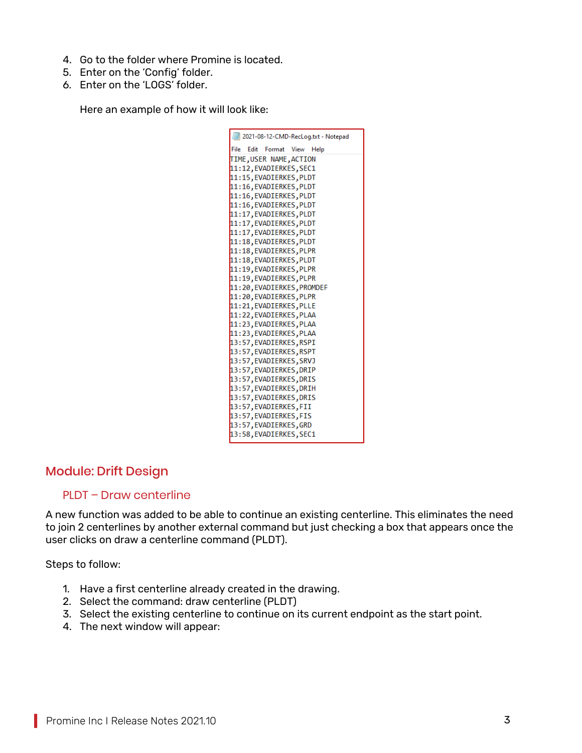- 4. Go to the folder where Promine is located.
- 5. Enter on the 'Config' folder.
- 6. Enter on the 'LOGS' folder.

Here an example of how it will look like:

| 2021-08-12-CMD-RecLog.txt - Notepad                |
|----------------------------------------------------|
| File Edit Format View Help                         |
| TIME, USER NAME, ACTION                            |
| 11:12, EVADIERKES, SEC1                            |
| 11:15, EVADIERKES, PLDT                            |
| 11:16, EVADIERKES, PLDT                            |
| 11:16, EVADIERKES, PLDT                            |
| 11:16, EVADIERKES, PLDT                            |
| 11:17, EVADIERKES, PLDT                            |
| 11:17, EVADIERKES, PLDT                            |
| 11:17, EVADIERKES, PLDT                            |
| 11:18, EVADIERKES, PLDT                            |
| 11:18, EVADIERKES, PLPR                            |
| 11:18, EVADIERKES, PLDT                            |
| 11:19, EVADIERKES, PLPR                            |
| 11:19, EVADIERKES, PLPR                            |
| 11:20, EVADIERKES, PROMDEF                         |
| 11:20, EVADIERKES, PLPR                            |
| 11:21, EVADIERKES, PLLE<br>11:22, EVADIERKES, PLAA |
| 11:23, EVADIERKES, PLAA                            |
| 11:23, EVADIERKES, PLAA                            |
| 13:57, EVADIERKES, RSPI                            |
| 13:57, EVADIERKES, RSPT                            |
| 13:57, EVADIERKES, SRVJ                            |
| 13:57, EVADIERKES, DRIP                            |
| 13:57, EVADIERKES, DRIS                            |
| 13:57, EVADIERKES, DRIH                            |
| 13:57, EVADIERKES, DRIS                            |
| 13:57, EVADIERKES, FII                             |
| 13:57, EVADIERKES, FIS                             |
| 13:57, EVADIERKES, GRD                             |
| 13:58, EVADIERKES, SEC1                            |

## Module: Drift Design

#### PLDT – Draw centerline

A new function was added to be able to continue an existing centerline. This eliminates the need to join 2 centerlines by another external command but just checking a box that appears once the user clicks on draw a centerline command (PLDT).

Steps to follow:

- 1. Have a first centerline already created in the drawing.
- 2. Select the command: draw centerline (PLDT)
- 3. Select the existing centerline to continue on its current endpoint as the start point.
- 4. The next window will appear: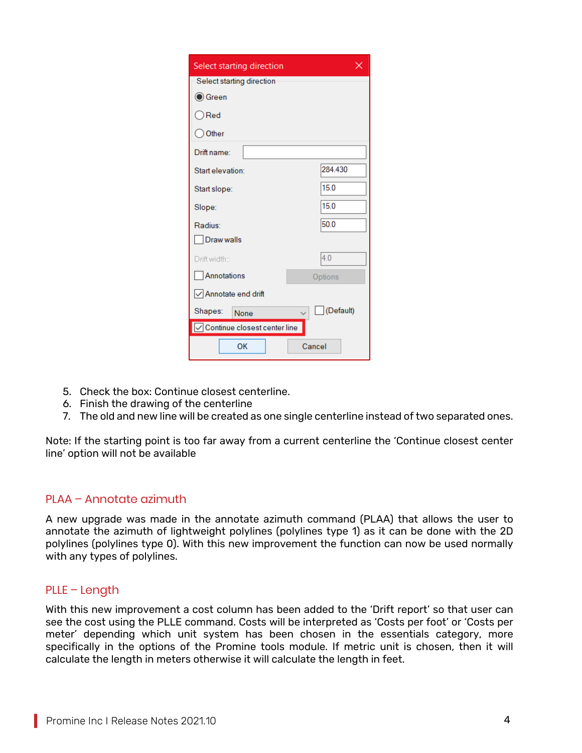| Select starting direction                           | ×         |
|-----------------------------------------------------|-----------|
| Select starting direction                           |           |
| (● Green                                            |           |
| ◯ Red                                               |           |
| Other                                               |           |
| Drift name:                                         |           |
| Start elevation:                                    | 284.430   |
| Start slope:                                        | 15.0      |
| Slope:                                              | 15.0      |
| Radius:                                             | 50.0      |
| Draw walls                                          |           |
| Drift width::                                       | 4.0       |
| Annotations                                         | Options   |
| √ Annotate end drift                                |           |
| Shapes:<br>None                                     | (Default) |
| $\sqrt{\frac{1}{100}}$ Continue closest center line |           |
| OK                                                  | Cancel    |

- 5. Check the box: Continue closest centerline.
- 6. Finish the drawing of the centerline
- 7. The old and new line will be created as one single centerline instead of two separated ones.

Note: If the starting point is too far away from a current centerline the 'Continue closest center line' option will not be available

#### PLAA – Annotate azimuth

A new upgrade was made in the annotate azimuth command (PLAA) that allows the user to annotate the azimuth of lightweight polylines (polylines type 1) as it can be done with the 2D polylines (polylines type 0). With this new improvement the function can now be used normally with any types of polylines.

#### PLLE – Length

With this new improvement a cost column has been added to the 'Drift report' so that user can see the cost using the PLLE command. Costs will be interpreted as 'Costs per foot' or 'Costs per meter' depending which unit system has been chosen in the essentials category, more specifically in the options of the Promine tools module. If metric unit is chosen, then it will calculate the length in meters otherwise it will calculate the length in feet.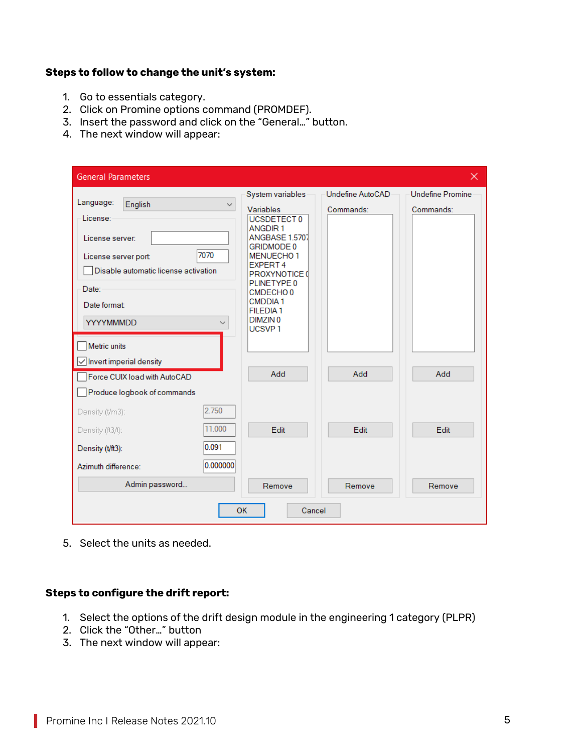#### **Steps to follow to change the unit's system:**

- 1. Go to essentials category.
- 2. Click on Promine options command (PROMDEF).
- 3. Insert the password and click on the "General…" button.
- 4. The next window will appear:

| <b>General Parameters</b>                                                                                                                                                                |                                                                                                                                                                                                                                                                                       |                               | $\times$                             |  |
|------------------------------------------------------------------------------------------------------------------------------------------------------------------------------------------|---------------------------------------------------------------------------------------------------------------------------------------------------------------------------------------------------------------------------------------------------------------------------------------|-------------------------------|--------------------------------------|--|
| Language:<br>English<br>$\checkmark$<br>License:<br>License server:<br>7070<br>License server port:<br>Disable automatic license activation<br>Date:<br>Date format:<br><b>YYYYMMMDD</b> | System variables<br>Variables<br>UCSDETECT 0<br><b>ANGDIR1</b><br><b>ANGBASE 1.5707</b><br>GRIDMODE 0<br><b>MENUECHO1</b><br><b>EXPERT4</b><br>PROXYNOTICE 0<br>PLINETYPE 0<br>CMDECHO <sub>0</sub><br><b>CMDDIA1</b><br><b>FILEDIA1</b><br>DIMZIN <sub>0</sub><br>UCSVP <sub>1</sub> | Undefine AutoCAD<br>Commands: | <b>Undefine Promine</b><br>Commands: |  |
| Metric units<br>$\sqrt{\ }$ Invert imperial density<br>Force CUIX load with AutoCAD<br>Produce logbook of commands                                                                       | Add                                                                                                                                                                                                                                                                                   | Add                           | Add                                  |  |
| 2.750<br>Density (t/m3):<br>11.000<br>Density (ft3/t):<br>0.091<br>Density (t/ft3):<br>0.000000<br>Azimuth difference:                                                                   | Edit                                                                                                                                                                                                                                                                                  | Edit                          | Edit                                 |  |
| Admin password                                                                                                                                                                           | Remove                                                                                                                                                                                                                                                                                | Remove                        | Remove                               |  |
| OK<br>Cancel                                                                                                                                                                             |                                                                                                                                                                                                                                                                                       |                               |                                      |  |

5. Select the units as needed.

#### **Steps to configure the drift report:**

- 1. Select the options of the drift design module in the engineering 1 category (PLPR)
- 2. Click the "Other…" button
- 3. The next window will appear: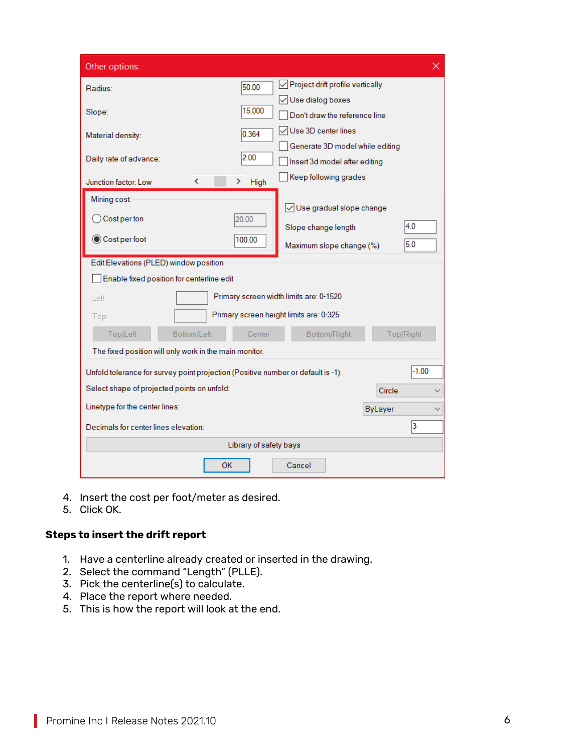| Other options:                                                                   |                        |                                            |                | $\times$  |
|----------------------------------------------------------------------------------|------------------------|--------------------------------------------|----------------|-----------|
| Radius:                                                                          | 50.00                  | $\sqrt{}$ Project drift profile vertically |                |           |
|                                                                                  |                        | √Use dialog boxes                          |                |           |
| Slope:                                                                           | 15.000                 | Don't draw the reference line              |                |           |
| Material density:                                                                | 0.364                  | √Use 3D center lines                       |                |           |
|                                                                                  |                        | Generate 3D model while editing            |                |           |
| Daily rate of advance:                                                           | 2.00                   | Insert 3d model after editing              |                |           |
| Junction factor: Low<br>∢                                                        | High<br>⋗              | Keep following grades                      |                |           |
| Mining cost:                                                                     |                        |                                            |                |           |
| $\bigcirc$ Cost per ton                                                          | 20.00                  | Use gradual slope change                   |                |           |
|                                                                                  |                        | Slope change length                        |                | 4.0       |
| Cost per foot                                                                    | 100.00                 | Maximum slope change (%)                   |                | 5.0       |
| Edit Elevations (PLED) window position                                           |                        |                                            |                |           |
| Enable fixed position for centerline edit                                        |                        |                                            |                |           |
| Left:                                                                            |                        | Primary screen width limits are: 0-1520    |                |           |
| Top:                                                                             |                        | Primary screen height limits are: 0-325    |                |           |
| Top/Left<br>Bottom/Left                                                          | Center<br>Bottom/Right |                                            |                | Top/Right |
| The fixed position will only work in the main monitor.                           |                        |                                            |                |           |
|                                                                                  |                        |                                            |                | $-1.00$   |
| Unfold tolerance for survey point projection (Positive number or default is -1): |                        |                                            |                |           |
| Select shape of projected points on unfold:                                      |                        |                                            | Circle         |           |
| Linetype for the center lines:                                                   |                        |                                            | <b>ByLayer</b> |           |
| Decimals for center lines elevation:                                             |                        |                                            |                | 3         |
|                                                                                  | Library of safety bays |                                            |                |           |
| <b>OK</b>                                                                        |                        | Cancel                                     |                |           |

- 4. Insert the cost per foot/meter as desired.
- 5. Click OK.

#### **Steps to insert the drift report**

- 1. Have a centerline already created or inserted in the drawing.
- 2. Select the command "Length" (PLLE).
- 3. Pick the centerline(s) to calculate.
- 4. Place the report where needed.
- 5. This is how the report will look at the end.